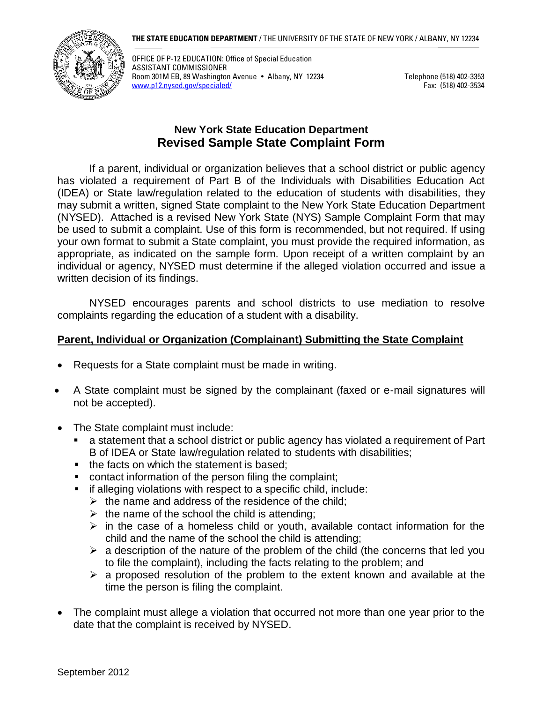

OFFICE OF P-12 EDUCATION: Office of Special Education ASSISTANT COMMISSIONER Room 301M EB, 89 Washington Avenue • Albany, NY 12234 Telephone (518) 402-3353<br>www.p12.nysed.gov/specialed/ [www.p12.nysed.gov/specialed/](http://www.p12.nysed.gov/specialed/)

# **New York State Education Department Revised Sample State Complaint Form**

If a parent, individual or organization believes that a school district or public agency has violated a requirement of Part B of the Individuals with Disabilities Education Act (IDEA) or State law/regulation related to the education of students with disabilities, they may submit a written, signed State complaint to the New York State Education Department (NYSED). Attached is a revised New York State (NYS) Sample Complaint Form that may be used to submit a complaint. Use of this form is recommended, but not required. If using your own format to submit a State complaint, you must provide the required information, as appropriate, as indicated on the sample form. Upon receipt of a written complaint by an individual or agency, NYSED must determine if the alleged violation occurred and issue a written decision of its findings.

NYSED encourages parents and school districts to use mediation to resolve complaints regarding the education of a student with a disability.

## **Parent, Individual or Organization (Complainant) Submitting the State Complaint**

- Requests for a State complaint must be made in writing.
- A State complaint must be signed by the complainant (faxed or e-mail signatures will not be accepted).
- The State complaint must include:
	- a statement that a school district or public agency has violated a requirement of Part B of IDEA or State law/regulation related to students with disabilities;
	- the facts on which the statement is based;
	- contact information of the person filing the complaint;
	- if alleging violations with respect to a specific child, include:
		- $\triangleright$  the name and address of the residence of the child;
		- $\triangleright$  the name of the school the child is attending;
		- $\triangleright$  in the case of a homeless child or youth, available contact information for the child and the name of the school the child is attending;
		- $\triangleright$  a description of the nature of the problem of the child (the concerns that led you to file the complaint), including the facts relating to the problem; and
		- ➢ a proposed resolution of the problem to the extent known and available at the time the person is filing the complaint.
- The complaint must allege a violation that occurred not more than one year prior to the date that the complaint is received by NYSED.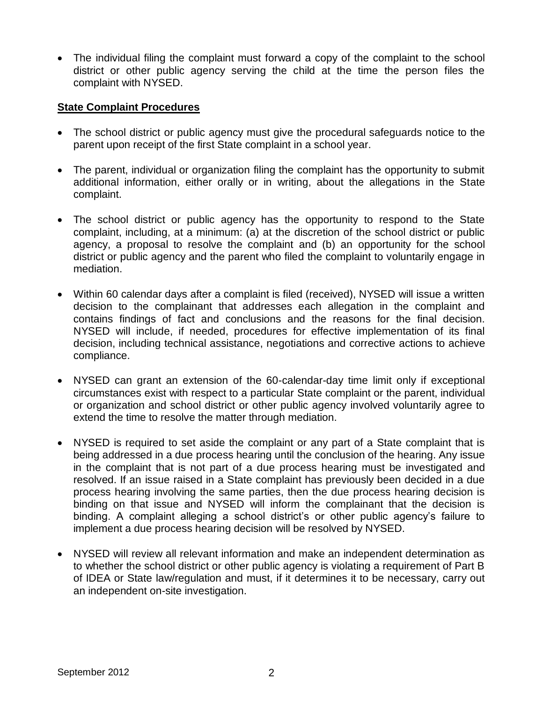• The individual filing the complaint must forward a copy of the complaint to the school district or other public agency serving the child at the time the person files the complaint with NYSED.

## **State Complaint Procedures**

- The school district or public agency must give the procedural safeguards notice to the parent upon receipt of the first State complaint in a school year.
- The parent, individual or organization filing the complaint has the opportunity to submit additional information, either orally or in writing, about the allegations in the State complaint.
- The school district or public agency has the opportunity to respond to the State complaint, including, at a minimum: (a) at the discretion of the school district or public agency, a proposal to resolve the complaint and (b) an opportunity for the school district or public agency and the parent who filed the complaint to voluntarily engage in mediation.
- Within 60 calendar days after a complaint is filed (received), NYSED will issue a written decision to the complainant that addresses each allegation in the complaint and contains findings of fact and conclusions and the reasons for the final decision. NYSED will include, if needed, procedures for effective implementation of its final decision, including technical assistance, negotiations and corrective actions to achieve compliance.
- NYSED can grant an extension of the 60-calendar-day time limit only if exceptional circumstances exist with respect to a particular State complaint or the parent, individual or organization and school district or other public agency involved voluntarily agree to extend the time to resolve the matter through mediation.
- NYSED is required to set aside the complaint or any part of a State complaint that is being addressed in a due process hearing until the conclusion of the hearing. Any issue in the complaint that is not part of a due process hearing must be investigated and resolved. If an issue raised in a State complaint has previously been decided in a due process hearing involving the same parties, then the due process hearing decision is binding on that issue and NYSED will inform the complainant that the decision is binding. A complaint alleging a school district's or other public agency's failure to implement a due process hearing decision will be resolved by NYSED.
- NYSED will review all relevant information and make an independent determination as to whether the school district or other public agency is violating a requirement of Part B of IDEA or State law/regulation and must, if it determines it to be necessary, carry out an independent on-site investigation.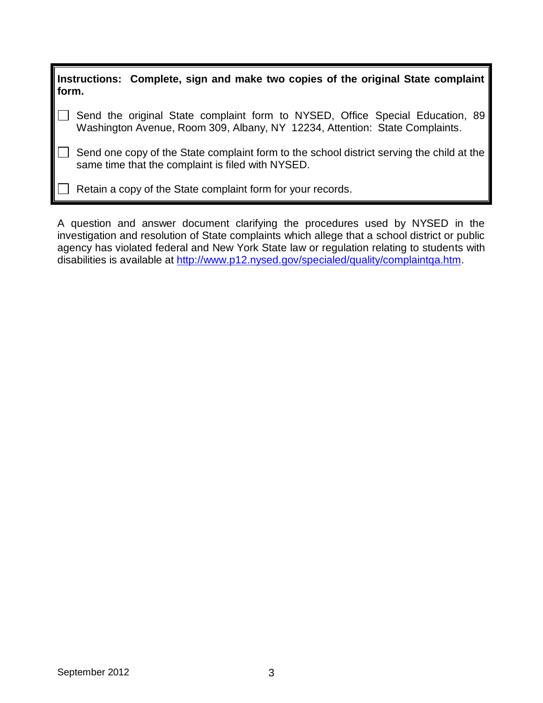| $\parallel$ Instructions: Complete, sign and make two copies of the original State complaint $\parallel$<br>form. |                                                                                                                                                              |  |  |  |  |
|-------------------------------------------------------------------------------------------------------------------|--------------------------------------------------------------------------------------------------------------------------------------------------------------|--|--|--|--|
|                                                                                                                   | Send the original State complaint form to NYSED, Office Special Education, 89<br>Washington Avenue, Room 309, Albany, NY 12234, Attention: State Complaints. |  |  |  |  |
|                                                                                                                   | Send one copy of the State complaint form to the school district serving the child at the<br>same time that the complaint is filed with NYSED.               |  |  |  |  |
|                                                                                                                   | Retain a copy of the State complaint form for your records.                                                                                                  |  |  |  |  |

A question and answer document clarifying the procedures used by NYSED in the investigation and resolution of State complaints which allege that a school district or public agency has violated federal and New York State law or regulation relating to students with disabilities is available at [http://www.p12.nysed.gov/specialed/quality/complaintqa.htm.](http://www.p12.nysed.gov/specialed/quality/complaintqa.htm)

Æ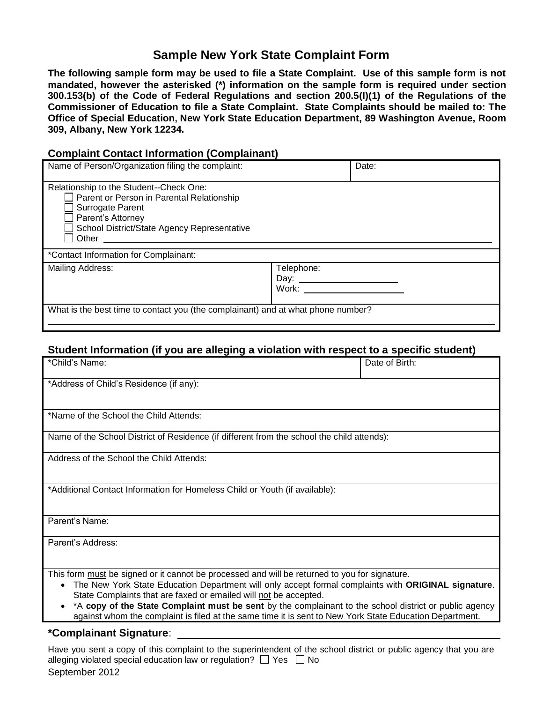# **Sample New York State Complaint Form**

**The following sample form may be used to file a State Complaint. Use of this sample form is not mandated, however the asterisked (\*) information on the sample form is required under section 300.153(b) of the Code of Federal Regulations and section 200.5(l)(1) of the Regulations of the Commissioner of Education to file a State Complaint. State Complaints should be mailed to: The Office of Special Education, New York State Education Department, 89 Washington Avenue, Room 309, Albany, New York 12234.**

#### **Complaint Contact Information (Complainant)**

| Name of Person/Organization filing the complaint:                                                                                                                                     | Date:                              |  |  |  |  |  |  |
|---------------------------------------------------------------------------------------------------------------------------------------------------------------------------------------|------------------------------------|--|--|--|--|--|--|
| Relationship to the Student--Check One:<br>Parent or Person in Parental Relationship<br>Surrogate Parent<br>Parent's Attorney<br>School District/State Agency Representative<br>Other |                                    |  |  |  |  |  |  |
| *Contact Information for Complainant:                                                                                                                                                 |                                    |  |  |  |  |  |  |
| Mailing Address:                                                                                                                                                                      | Telephone:<br>Day: $\_\_$<br>Work: |  |  |  |  |  |  |
| What is the best time to contact you (the complainant) and at what phone number?                                                                                                      |                                    |  |  |  |  |  |  |

#### **Student Information (if you are alleging a violation with respect to a specific student)**

| *Child's Name:                                                                                                                                                                                                                                                                                                                                                                                                                                                                                  | Date of Birth: |  |  |  |  |  |
|-------------------------------------------------------------------------------------------------------------------------------------------------------------------------------------------------------------------------------------------------------------------------------------------------------------------------------------------------------------------------------------------------------------------------------------------------------------------------------------------------|----------------|--|--|--|--|--|
| *Address of Child's Residence (if any):                                                                                                                                                                                                                                                                                                                                                                                                                                                         |                |  |  |  |  |  |
| *Name of the School the Child Attends:                                                                                                                                                                                                                                                                                                                                                                                                                                                          |                |  |  |  |  |  |
| Name of the School District of Residence (if different from the school the child attends):                                                                                                                                                                                                                                                                                                                                                                                                      |                |  |  |  |  |  |
| Address of the School the Child Attends:                                                                                                                                                                                                                                                                                                                                                                                                                                                        |                |  |  |  |  |  |
| *Additional Contact Information for Homeless Child or Youth (if available):                                                                                                                                                                                                                                                                                                                                                                                                                     |                |  |  |  |  |  |
| Parent's Name:                                                                                                                                                                                                                                                                                                                                                                                                                                                                                  |                |  |  |  |  |  |
| Parent's Address:                                                                                                                                                                                                                                                                                                                                                                                                                                                                               |                |  |  |  |  |  |
| This form must be signed or it cannot be processed and will be returned to you for signature.<br>The New York State Education Department will only accept formal complaints with ORIGINAL signature.<br>State Complaints that are faxed or emailed will not be accepted.<br>• *A copy of the State Complaint must be sent by the complainant to the school district or public agency<br>against whom the complaint is filed at the same time it is sent to New York State Education Department. |                |  |  |  |  |  |
| *Complainant Signature:                                                                                                                                                                                                                                                                                                                                                                                                                                                                         |                |  |  |  |  |  |

September 2012 Have you sent a copy of this complaint to the superintendent of the school district or public agency that you are alleging violated special education law or regulation?  $\Box$  Yes  $\Box$  No